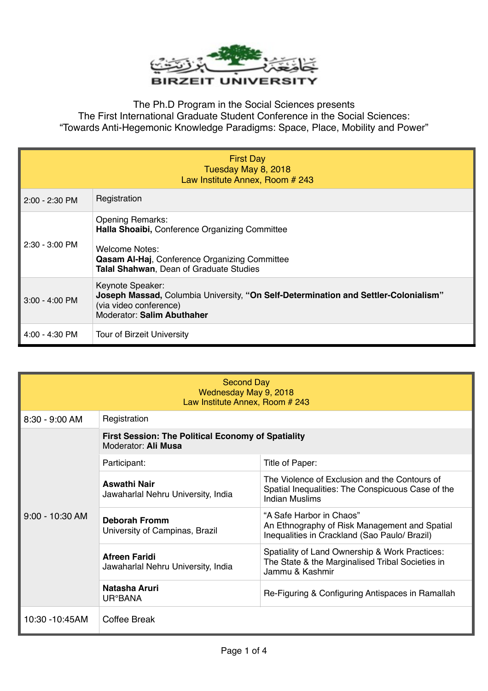

The Ph.D Program in the Social Sciences presents The First International Graduate Student Conference in the Social Sciences: "Towards Anti-Hegemonic Knowledge Paradigms: Space, Place, Mobility and Power"

| <b>First Day</b><br>Tuesday May 8, 2018<br>Law Institute Annex, Room # 243 |                                                                                                                                                                                         |  |
|----------------------------------------------------------------------------|-----------------------------------------------------------------------------------------------------------------------------------------------------------------------------------------|--|
| $2:00 - 2:30$ PM                                                           | Registration                                                                                                                                                                            |  |
| 2:30 - 3:00 PM                                                             | <b>Opening Remarks:</b><br>Halla Shoaibi, Conference Organizing Committee<br>Welcome Notes:<br>Qasam Al-Haj, Conference Organizing Committee<br>Talal Shahwan, Dean of Graduate Studies |  |
| 3:00 - 4:00 PM                                                             | Keynote Speaker:<br>Joseph Massad, Columbia University, "On Self-Determination and Settler-Colonialism"<br>(via video conference)<br><b>Moderator: Salim Abuthaher</b>                  |  |
| $4:00 - 4:30$ PM                                                           | <b>Tour of Birzeit University</b>                                                                                                                                                       |  |

| <b>Second Day</b><br>Wednesday May 9, 2018<br>Law Institute Annex, Room # 243 |                                                                                  |                                                                                                                            |  |  |
|-------------------------------------------------------------------------------|----------------------------------------------------------------------------------|----------------------------------------------------------------------------------------------------------------------------|--|--|
| $8:30 - 9:00$ AM                                                              | Registration                                                                     |                                                                                                                            |  |  |
| $9:00 - 10:30$ AM                                                             | <b>First Session: The Political Economy of Spatiality</b><br>Moderator: Ali Musa |                                                                                                                            |  |  |
|                                                                               | Participant:                                                                     | Title of Paper:                                                                                                            |  |  |
|                                                                               | <b>Aswathi Nair</b><br>Jawaharlal Nehru University, India                        | The Violence of Exclusion and the Contours of<br>Spatial Inequalities: The Conspicuous Case of the<br>Indian Muslims       |  |  |
|                                                                               | <b>Deborah Fromm</b><br>University of Campinas, Brazil                           | "A Safe Harbor in Chaos"<br>An Ethnography of Risk Management and Spatial<br>Inequalities in Crackland (Sao Paulo/ Brazil) |  |  |
|                                                                               | <b>Afreen Faridi</b><br>Jawaharlal Nehru University, India                       | Spatiality of Land Ownership & Work Practices:<br>The State & the Marginalised Tribal Societies in<br>Jammu & Kashmir      |  |  |
|                                                                               | Natasha Aruri<br>UR°BANA                                                         | Re-Figuring & Configuring Antispaces in Ramallah                                                                           |  |  |
| 10:30 - 10:45AM                                                               | Coffee Break                                                                     |                                                                                                                            |  |  |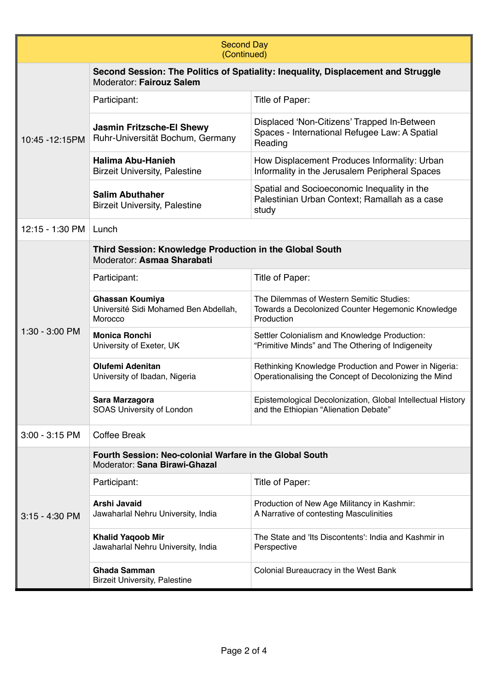| <b>Second Day</b><br>(Continued) |                                                                                                               |                                                                                                                |  |  |
|----------------------------------|---------------------------------------------------------------------------------------------------------------|----------------------------------------------------------------------------------------------------------------|--|--|
| 10:45 - 12:15 PM                 | Second Session: The Politics of Spatiality: Inequality, Displacement and Struggle<br>Moderator: Fairouz Salem |                                                                                                                |  |  |
|                                  | Participant:                                                                                                  | Title of Paper:                                                                                                |  |  |
|                                  | <b>Jasmin Fritzsche-El Shewy</b><br>Ruhr-Universität Bochum, Germany                                          | Displaced 'Non-Citizens' Trapped In-Between<br>Spaces - International Refugee Law: A Spatial<br>Reading        |  |  |
|                                  | <b>Halima Abu-Hanieh</b><br><b>Birzeit University, Palestine</b>                                              | How Displacement Produces Informality: Urban<br>Informality in the Jerusalem Peripheral Spaces                 |  |  |
|                                  | <b>Salim Abuthaher</b><br><b>Birzeit University, Palestine</b>                                                | Spatial and Socioeconomic Inequality in the<br>Palestinian Urban Context; Ramallah as a case<br>study          |  |  |
| 12:15 - 1:30 PM                  | Lunch                                                                                                         |                                                                                                                |  |  |
|                                  | Third Session: Knowledge Production in the Global South<br>Moderator: Asmaa Sharabati                         |                                                                                                                |  |  |
|                                  | Participant:                                                                                                  | Title of Paper:                                                                                                |  |  |
| 1:30 - 3:00 PM                   | Ghassan Koumiya<br>Université Sidi Mohamed Ben Abdellah,<br>Morocco                                           | The Dilemmas of Western Semitic Studies:<br>Towards a Decolonized Counter Hegemonic Knowledge<br>Production    |  |  |
|                                  | <b>Monica Ronchi</b><br>University of Exeter, UK                                                              | Settler Colonialism and Knowledge Production:<br>"Primitive Minds" and The Othering of Indigeneity             |  |  |
|                                  | <b>Olufemi Adenitan</b><br>University of Ibadan, Nigeria                                                      | Rethinking Knowledge Production and Power in Nigeria:<br>Operationalising the Concept of Decolonizing the Mind |  |  |
|                                  | Sara Marzagora<br>SOAS University of London                                                                   | Epistemological Decolonization, Global Intellectual History<br>and the Ethiopian "Alienation Debate"           |  |  |
| $3:00 - 3:15$ PM                 | <b>Coffee Break</b>                                                                                           |                                                                                                                |  |  |
|                                  | Fourth Session: Neo-colonial Warfare in the Global South<br>Moderator: Sana Birawi-Ghazal                     |                                                                                                                |  |  |
|                                  | Participant:                                                                                                  | Title of Paper:                                                                                                |  |  |
| 3:15 - 4:30 PM                   | Arshi Javaid<br>Jawaharlal Nehru University, India                                                            | Production of New Age Militancy in Kashmir:<br>A Narrative of contesting Masculinities                         |  |  |
|                                  | <b>Khalid Yaqoob Mir</b><br>Jawaharlal Nehru University, India                                                | The State and 'Its Discontents': India and Kashmir in<br>Perspective                                           |  |  |
|                                  | <b>Ghada Samman</b><br><b>Birzeit University, Palestine</b>                                                   | Colonial Bureaucracy in the West Bank                                                                          |  |  |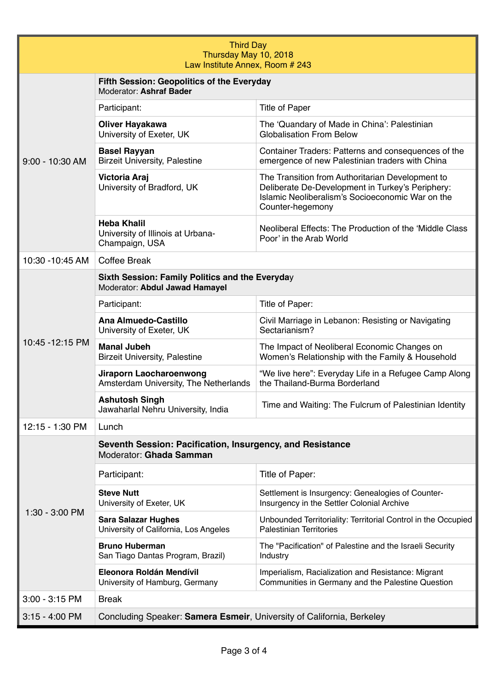| <b>Third Day</b><br>Thursday May 10, 2018<br>Law Institute Annex, Room # 243 |                                                                                      |                                                                                                                                                                              |  |  |
|------------------------------------------------------------------------------|--------------------------------------------------------------------------------------|------------------------------------------------------------------------------------------------------------------------------------------------------------------------------|--|--|
| 9:00 - 10:30 AM                                                              | Fifth Session: Geopolitics of the Everyday<br>Moderator: Ashraf Bader                |                                                                                                                                                                              |  |  |
|                                                                              | Participant:                                                                         | <b>Title of Paper</b>                                                                                                                                                        |  |  |
|                                                                              | <b>Oliver Hayakawa</b><br>University of Exeter, UK                                   | The 'Quandary of Made in China': Palestinian<br><b>Globalisation From Below</b>                                                                                              |  |  |
|                                                                              | <b>Basel Rayyan</b><br><b>Birzeit University, Palestine</b>                          | Container Traders: Patterns and consequences of the<br>emergence of new Palestinian traders with China                                                                       |  |  |
|                                                                              | Victoria Araj<br>University of Bradford, UK                                          | The Transition from Authoritarian Development to<br>Deliberate De-Development in Turkey's Periphery:<br>Islamic Neoliberalism's Socioeconomic War on the<br>Counter-hegemony |  |  |
|                                                                              | <b>Heba Khalil</b><br>University of Illinois at Urbana-<br>Champaign, USA            | Neoliberal Effects: The Production of the 'Middle Class<br>Poor' in the Arab World                                                                                           |  |  |
| 10:30 -10:45 AM                                                              | <b>Coffee Break</b>                                                                  |                                                                                                                                                                              |  |  |
|                                                                              | Sixth Session: Family Politics and the Everyday<br>Moderator: Abdul Jawad Hamayel    |                                                                                                                                                                              |  |  |
|                                                                              | Participant:                                                                         | Title of Paper:                                                                                                                                                              |  |  |
| 10:45 - 12:15 PM                                                             | Ana Almuedo-Castillo<br>University of Exeter, UK                                     | Civil Marriage in Lebanon: Resisting or Navigating<br>Sectarianism?                                                                                                          |  |  |
|                                                                              | <b>Manal Jubeh</b><br><b>Birzeit University, Palestine</b>                           | The Impact of Neoliberal Economic Changes on<br>Women's Relationship with the Family & Household                                                                             |  |  |
|                                                                              | <b>Jiraporn Laocharoenwong</b><br>Amsterdam University, The Netherlands              | "We live here": Everyday Life in a Refugee Camp Along<br>the Thailand-Burma Borderland                                                                                       |  |  |
|                                                                              | <b>Ashutosh Singh</b><br>Jawaharlal Nehru University, India                          | Time and Waiting: The Fulcrum of Palestinian Identity                                                                                                                        |  |  |
| 12:15 - 1:30 PM                                                              | Lunch                                                                                |                                                                                                                                                                              |  |  |
|                                                                              | Seventh Session: Pacification, Insurgency, and Resistance<br>Moderator: Ghada Samman |                                                                                                                                                                              |  |  |
|                                                                              | Participant:                                                                         | Title of Paper:                                                                                                                                                              |  |  |
|                                                                              | <b>Steve Nutt</b><br>University of Exeter, UK                                        | Settlement is Insurgency: Genealogies of Counter-<br>Insurgency in the Settler Colonial Archive                                                                              |  |  |
| 1:30 - 3:00 PM                                                               | <b>Sara Salazar Hughes</b><br>University of California, Los Angeles                  | Unbounded Territoriality: Territorial Control in the Occupied<br><b>Palestinian Territories</b>                                                                              |  |  |
|                                                                              | <b>Bruno Huberman</b><br>San Tiago Dantas Program, Brazil)                           | The "Pacification" of Palestine and the Israeli Security<br>Industry                                                                                                         |  |  |
|                                                                              | Eleonora Roldán Mendívil<br>University of Hamburg, Germany                           | Imperialism, Racialization and Resistance: Migrant<br>Communities in Germany and the Palestine Question                                                                      |  |  |
| 3:00 - 3:15 PM                                                               | <b>Break</b>                                                                         |                                                                                                                                                                              |  |  |
| $3:15 - 4:00$ PM                                                             | Concluding Speaker: Samera Esmeir, University of California, Berkeley                |                                                                                                                                                                              |  |  |